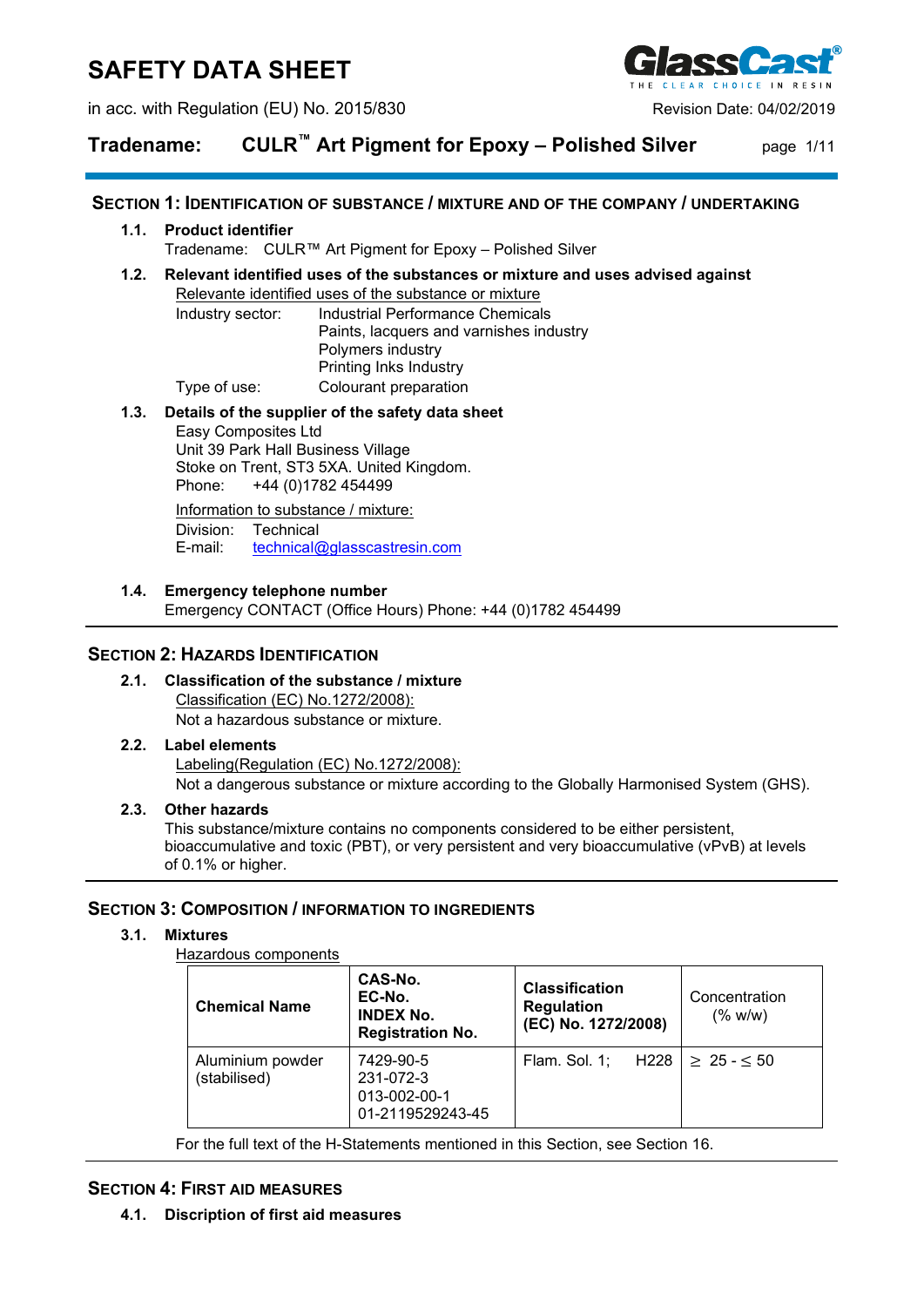# **SAFETY DATA SHEET**

in acc. with Regulation (EU) No. 2015/830 Revision Date: 04/02/2019



## **Tradename: CULR™ Art Pigment for Epoxy – Polished Silver** page 1/11

### **SECTION 1: IDENTIFICATION OF SUBSTANCE / MIXTURE AND OF THE COMPANY / UNDERTAKING**

#### **1.1. Product identifier**

Tradename: CULR™ Art Pigment for Epoxy – Polished Silver

#### **1.2. Relevant identified uses of the substances or mixture and uses advised against**

Relevante identified uses of the substance or mixture Industry sector: Industrial Performance Chemicals Paints, lacquers and varnishes industry Polymers industry Printing Inks Industry Type of use: Colourant preparation

#### **1.3. Details of the supplier of the safety data sheet**

Easy Composites Ltd Unit 39 Park Hall Business Village Stoke on Trent, ST3 5XA. United Kingdom.<br>Phone: +44 (0)1782 454499 +44 (0)1782 454499

Information to substance / mixture: Division: Technical E-mail: [technical@glasscastresin.com](mailto:technical@glasscastresin.com)

#### **1.4. Emergency telephone number**

Emergency CONTACT (Office Hours) Phone: +44 (0)1782 454499

## **SECTION 2: HAZARDS IDENTIFICATION**

#### **2.1. Classification of the substance / mixture** Classification (EC) No.1272/2008): Not a hazardous substance or mixture.

#### **2.2. Label elements**

Labeling(Regulation (EC) No.1272/2008): Not a dangerous substance or mixture according to the Globally Harmonised System (GHS).

#### **2.3. Other hazards**

This substance/mixture contains no components considered to be either persistent, bioaccumulative and toxic (PBT), or very persistent and very bioaccumulative (vPvB) at levels of 0.1% or higher.

### **SECTION 3: COMPOSITION / INFORMATION TO INGREDIENTS**

#### **3.1. Mixtures**

Hazardous components

| <b>Chemical Name</b>             | CAS-No.<br>EC-No.<br><b>INDEX No.</b><br><b>Registration No.</b> | <b>Classification</b><br><b>Regulation</b><br>(EC) No. 1272/2008) | Concentration<br>(% w/w) |
|----------------------------------|------------------------------------------------------------------|-------------------------------------------------------------------|--------------------------|
| Aluminium powder<br>(stabilised) | 7429-90-5<br>231-072-3<br>013-002-00-1<br>01-2119529243-45       | Flam. Sol. 1; H228 $  \ge 25 - 50$                                |                          |

For the full text of the H-Statements mentioned in this Section, see Section 16.

#### **SECTION 4: FIRST AID MEASURES**

**4.1. Discription of first aid measures**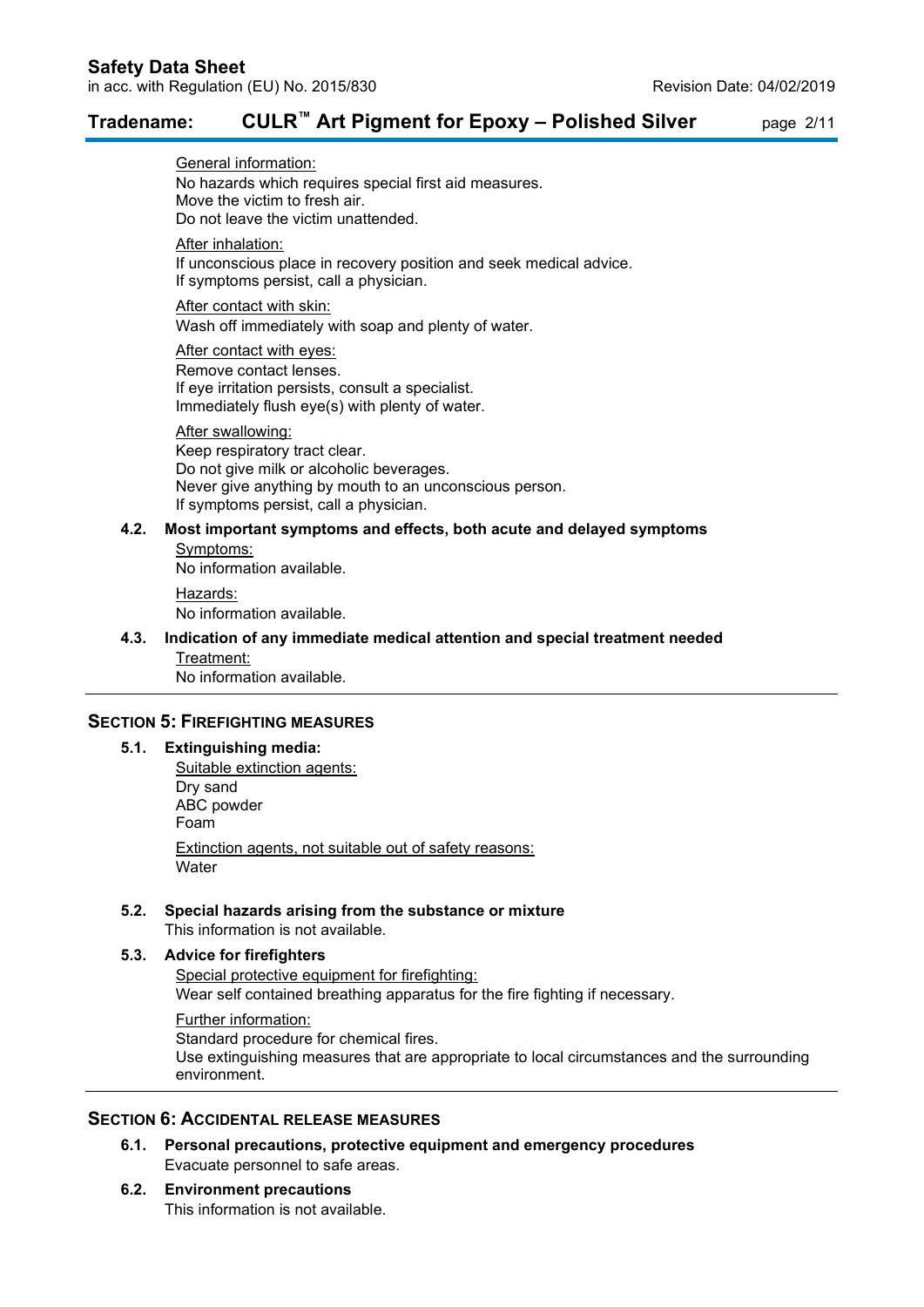## **Tradename: CULR™ Art Pigment for Epoxy – Polished Silver** page 2/11

General information: No hazards which requires special first aid measures. Move the victim to fresh air. Do not leave the victim unattended.

After inhalation:

If unconscious place in recovery position and seek medical advice. If symptoms persist, call a physician.

After contact with skin:

Wash off immediately with soap and plenty of water.

After contact with eyes: Remove contact lenses. If eye irritation persists, consult a specialist.

Immediately flush eye(s) with plenty of water.

#### After swallowing:

Keep respiratory tract clear. Do not give milk or alcoholic beverages. Never give anything by mouth to an unconscious person. If symptoms persist, call a physician.

#### **4.2. Most important symptoms and effects, both acute and delayed symptoms**

Symptoms: No information available.

Hazards:

No information available.

## **4.3. Indication of any immediate medical attention and special treatment needed** Treatment:

No information available.

## **SECTION 5: FIREFIGHTING MEASURES**

#### **5.1. Extinguishing media:**

Suitable extinction agents: Dry sand ABC powder Foam Extinction agents, not suitable out of safety reasons: **Water** 

## **5.2. Special hazards arising from the substance or mixture**

This information is not available.

## **5.3. Advice for firefighters**

Special protective equipment for firefighting: Wear self contained breathing apparatus for the fire fighting if necessary.

Further information: Standard procedure for chemical fires.

Use extinguishing measures that are appropriate to local circumstances and the surrounding environment.

## **SECTION 6: ACCIDENTAL RELEASE MEASURES**

- **6.1. Personal precautions, protective equipment and emergency procedures** Evacuate personnel to safe areas.
- **6.2. Environment precautions** This information is not available.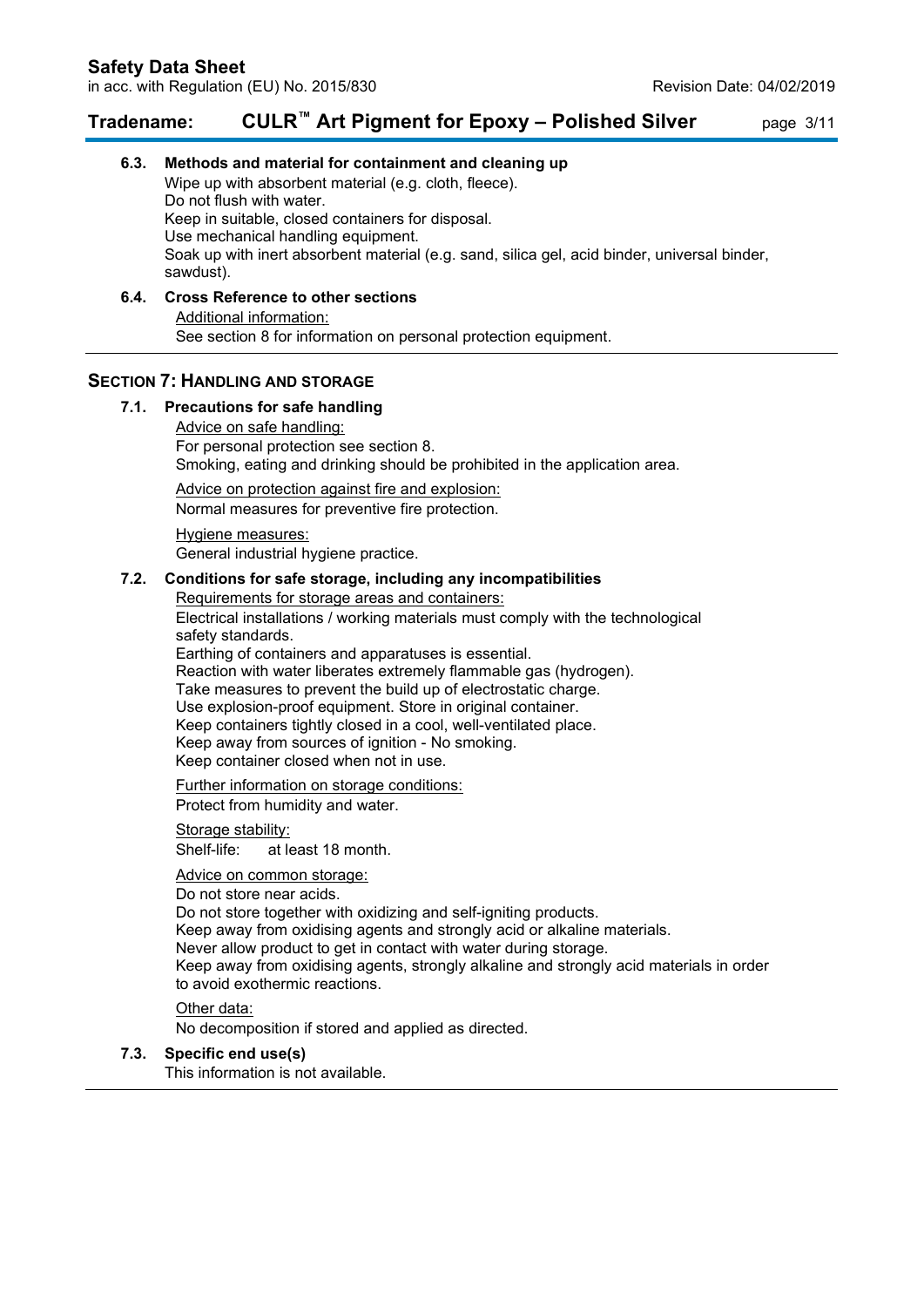## **Tradename: CULR™ Art Pigment for Epoxy – Polished Silver** page 3/11

## **6.3. Methods and material for containment and cleaning up** Wipe up with absorbent material (e.g. cloth, fleece). Do not flush with water. Keep in suitable, closed containers for disposal. Use mechanical handling equipment. Soak up with inert absorbent material (e.g. sand, silica gel, acid binder, universal binder, sawdust).

#### **6.4. Cross Reference to other sections** Additional information: See section 8 for information on personal protection equipment.

## **SECTION 7: HANDLING AND STORAGE**

## **7.1. Precautions for safe handling**

Advice on safe handling: For personal protection see section 8. Smoking, eating and drinking should be prohibited in the application area.

Advice on protection against fire and explosion: Normal measures for preventive fire protection.

Hygiene measures: General industrial hygiene practice.

#### **7.2. Conditions for safe storage, including any incompatibilities**

Requirements for storage areas and containers: Electrical installations / working materials must comply with the technological safety standards. Earthing of containers and apparatuses is essential.

Reaction with water liberates extremely flammable gas (hydrogen). Take measures to prevent the build up of electrostatic charge. Use explosion-proof equipment. Store in original container. Keep containers tightly closed in a cool, well-ventilated place. Keep away from sources of ignition - No smoking. Keep container closed when not in use.

Further information on storage conditions: Protect from humidity and water.

#### Storage stability:

Shelf-life: at least 18 month.

#### Advice on common storage:

#### Do not store near acids.

Do not store together with oxidizing and self-igniting products. Keep away from oxidising agents and strongly acid or alkaline materials. Never allow product to get in contact with water during storage. Keep away from oxidising agents, strongly alkaline and strongly acid materials in order to avoid exothermic reactions.

#### Other data:

No decomposition if stored and applied as directed.

#### **7.3. Specific end use(s)**

This information is not available.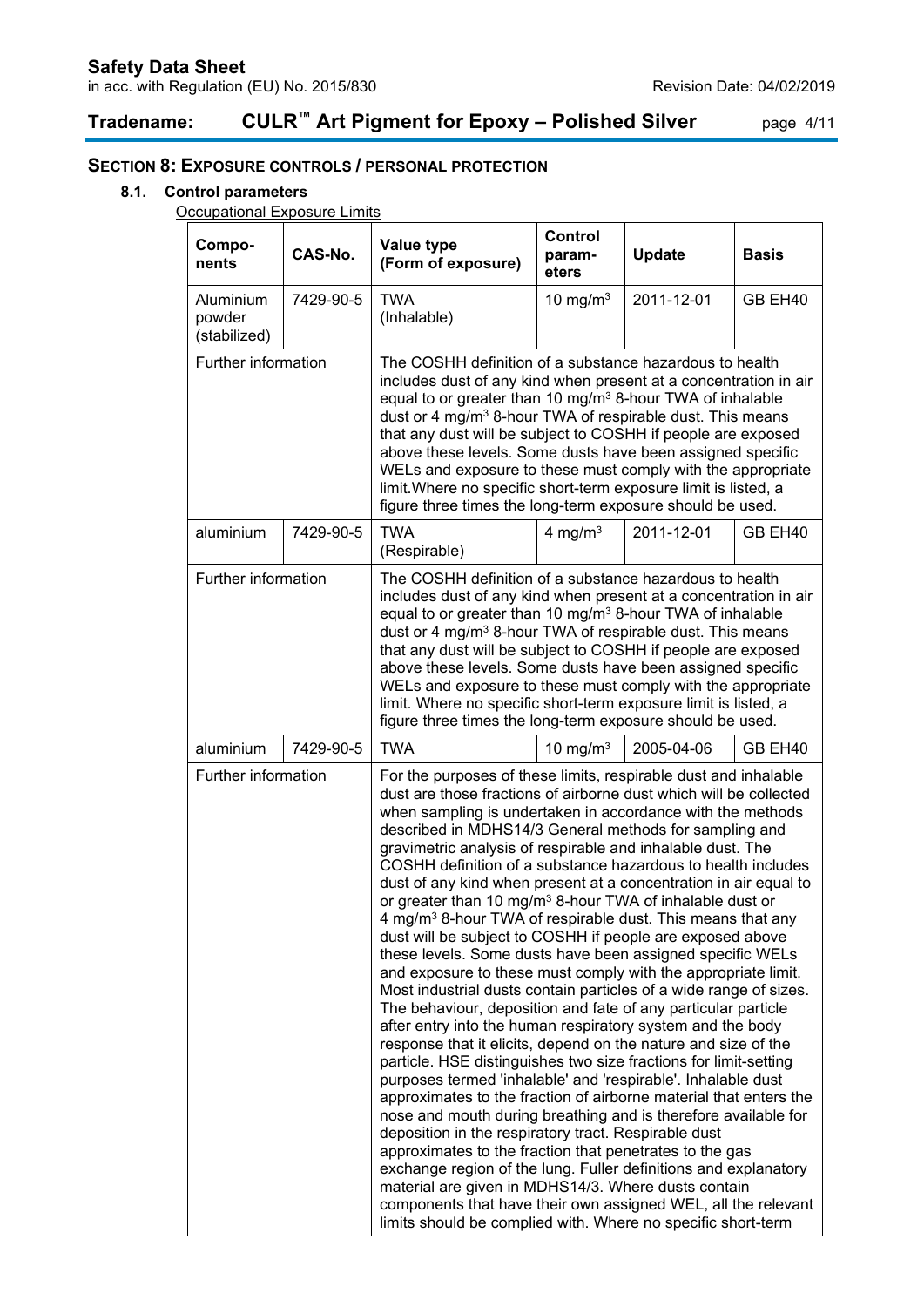# **Tradename: CULR™ Art Pigment for Epoxy – Polished Silver** page 4/11

## **SECTION 8: EXPOSURE CONTROLS / PERSONAL PROTECTION**

### **8.1. Control parameters**

**Occupational Exposure Limits** 

| Compo-<br>nents                     | CAS-No.   | <b>Value type</b><br>(Form of exposure)                                                                                                                                                                                                                                                                                                                                                                                                                                                                                                                                                                                                                                                                                                                                                                                                                                                                                                                                                                                                                                                                                                                                                                                                                                                                                                                                                                                                                                                                                                                                                                                                                                                                                                    | <b>Control</b><br>param-<br>eters | <b>Update</b> | <b>Basis</b> |
|-------------------------------------|-----------|--------------------------------------------------------------------------------------------------------------------------------------------------------------------------------------------------------------------------------------------------------------------------------------------------------------------------------------------------------------------------------------------------------------------------------------------------------------------------------------------------------------------------------------------------------------------------------------------------------------------------------------------------------------------------------------------------------------------------------------------------------------------------------------------------------------------------------------------------------------------------------------------------------------------------------------------------------------------------------------------------------------------------------------------------------------------------------------------------------------------------------------------------------------------------------------------------------------------------------------------------------------------------------------------------------------------------------------------------------------------------------------------------------------------------------------------------------------------------------------------------------------------------------------------------------------------------------------------------------------------------------------------------------------------------------------------------------------------------------------------|-----------------------------------|---------------|--------------|
| Aluminium<br>powder<br>(stabilized) | 7429-90-5 | <b>TWA</b><br>(Inhalable)                                                                                                                                                                                                                                                                                                                                                                                                                                                                                                                                                                                                                                                                                                                                                                                                                                                                                                                                                                                                                                                                                                                                                                                                                                                                                                                                                                                                                                                                                                                                                                                                                                                                                                                  | 10 mg/m $3$                       | 2011-12-01    | GB EH40      |
| Further information                 |           | The COSHH definition of a substance hazardous to health<br>includes dust of any kind when present at a concentration in air<br>equal to or greater than 10 mg/m <sup>3</sup> 8-hour TWA of inhalable<br>dust or 4 mg/m <sup>3</sup> 8-hour TWA of respirable dust. This means<br>that any dust will be subject to COSHH if people are exposed<br>above these levels. Some dusts have been assigned specific<br>WELs and exposure to these must comply with the appropriate<br>limit. Where no specific short-term exposure limit is listed, a<br>figure three times the long-term exposure should be used.                                                                                                                                                                                                                                                                                                                                                                                                                                                                                                                                                                                                                                                                                                                                                                                                                                                                                                                                                                                                                                                                                                                                 |                                   |               |              |
| aluminium                           | 7429-90-5 | <b>TWA</b><br>(Respirable)                                                                                                                                                                                                                                                                                                                                                                                                                                                                                                                                                                                                                                                                                                                                                                                                                                                                                                                                                                                                                                                                                                                                                                                                                                                                                                                                                                                                                                                                                                                                                                                                                                                                                                                 | 4 mg/m <sup>3</sup>               | 2011-12-01    | GB EH40      |
| Further information                 |           | The COSHH definition of a substance hazardous to health<br>includes dust of any kind when present at a concentration in air<br>equal to or greater than 10 mg/m <sup>3</sup> 8-hour TWA of inhalable<br>dust or 4 mg/m <sup>3</sup> 8-hour TWA of respirable dust. This means<br>that any dust will be subject to COSHH if people are exposed<br>above these levels. Some dusts have been assigned specific<br>WELs and exposure to these must comply with the appropriate<br>limit. Where no specific short-term exposure limit is listed, a<br>figure three times the long-term exposure should be used.                                                                                                                                                                                                                                                                                                                                                                                                                                                                                                                                                                                                                                                                                                                                                                                                                                                                                                                                                                                                                                                                                                                                 |                                   |               |              |
| aluminium                           | 7429-90-5 | <b>TWA</b>                                                                                                                                                                                                                                                                                                                                                                                                                                                                                                                                                                                                                                                                                                                                                                                                                                                                                                                                                                                                                                                                                                                                                                                                                                                                                                                                                                                                                                                                                                                                                                                                                                                                                                                                 | 10 mg/m $3$                       | 2005-04-06    | GB EH40      |
| Further information                 |           | For the purposes of these limits, respirable dust and inhalable<br>dust are those fractions of airborne dust which will be collected<br>when sampling is undertaken in accordance with the methods<br>described in MDHS14/3 General methods for sampling and<br>gravimetric analysis of respirable and inhalable dust. The<br>COSHH definition of a substance hazardous to health includes<br>dust of any kind when present at a concentration in air equal to<br>or greater than 10 mg/m <sup>3</sup> 8-hour TWA of inhalable dust or<br>4 mg/m <sup>3</sup> 8-hour TWA of respirable dust. This means that any<br>dust will be subject to COSHH if people are exposed above<br>these levels. Some dusts have been assigned specific WELs<br>and exposure to these must comply with the appropriate limit.<br>Most industrial dusts contain particles of a wide range of sizes.<br>The behaviour, deposition and fate of any particular particle<br>after entry into the human respiratory system and the body<br>response that it elicits, depend on the nature and size of the<br>particle. HSE distinguishes two size fractions for limit-setting<br>purposes termed 'inhalable' and 'respirable'. Inhalable dust<br>approximates to the fraction of airborne material that enters the<br>nose and mouth during breathing and is therefore available for<br>deposition in the respiratory tract. Respirable dust<br>approximates to the fraction that penetrates to the gas<br>exchange region of the lung. Fuller definitions and explanatory<br>material are given in MDHS14/3. Where dusts contain<br>components that have their own assigned WEL, all the relevant<br>limits should be complied with. Where no specific short-term |                                   |               |              |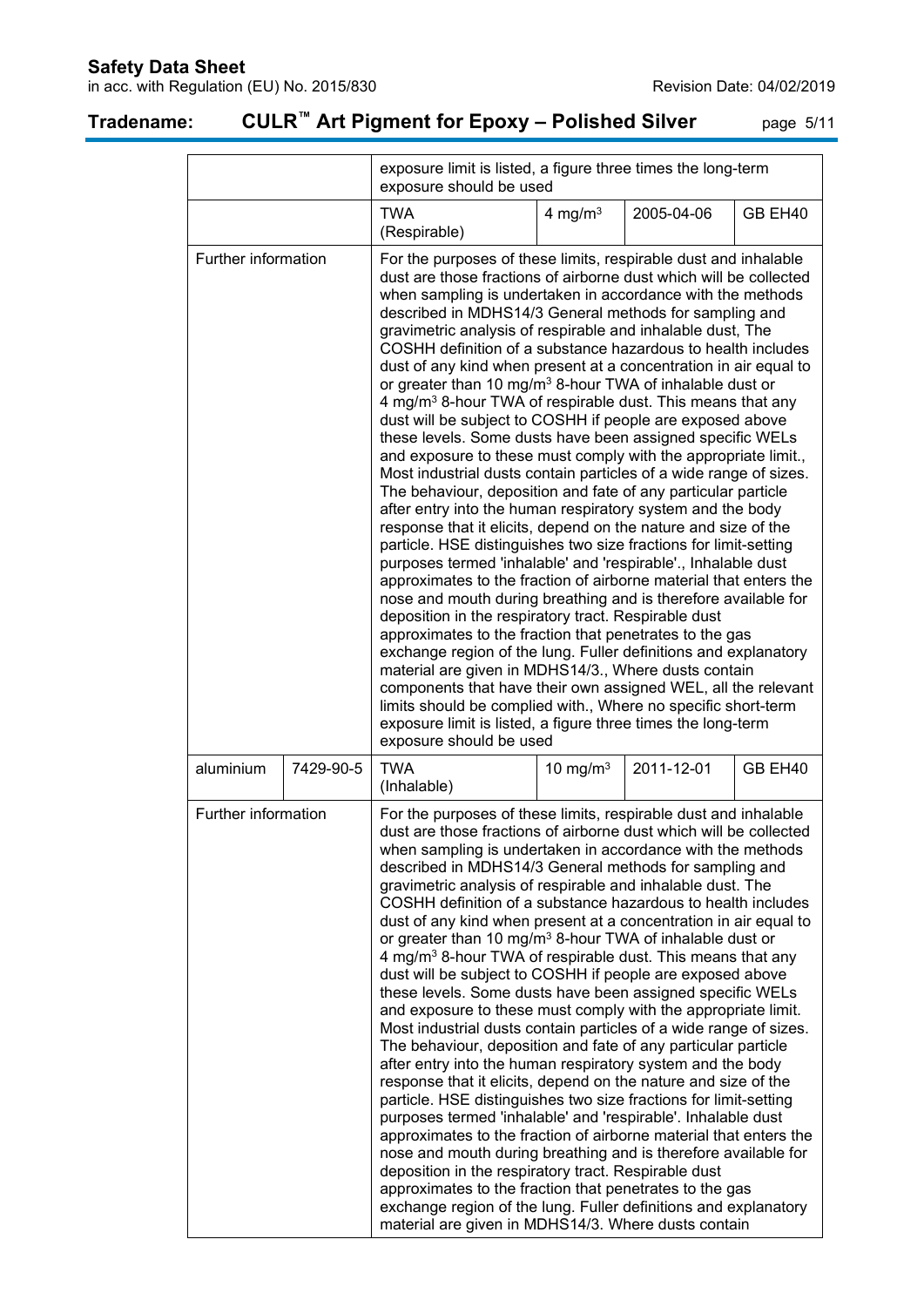## **Safety Data Sheet**

in acc. with Regulation (EU) No. 2015/830 **Revision Date: 04/02/2019** Revision Date: 04/02/2019

# **Tradename: CULR™ Art Pigment for Epoxy – Polished Silver** page 5/11

|                                                                                                                                                                                                                                                                                                                                                                                                                                                                                                                                                                                                                                                                                                                                                                                                                                                                                                                                                                                                                                                                                                                                                                                                                                                                                                                                                                                                                                                                                                                                                                                                                                                                                                                                                                                                                                                                  |           | exposure limit is listed, a figure three times the long-term<br>exposure should be used                                                                                                                                                                                                                                                                                                                                                                                                                                                                                                                                                                                                                                                                                                                                                                                                                                                                                                                                                                                                                                                                                                                                                                                                                                                                                                                                                                                                                                                            |             |            |         |
|------------------------------------------------------------------------------------------------------------------------------------------------------------------------------------------------------------------------------------------------------------------------------------------------------------------------------------------------------------------------------------------------------------------------------------------------------------------------------------------------------------------------------------------------------------------------------------------------------------------------------------------------------------------------------------------------------------------------------------------------------------------------------------------------------------------------------------------------------------------------------------------------------------------------------------------------------------------------------------------------------------------------------------------------------------------------------------------------------------------------------------------------------------------------------------------------------------------------------------------------------------------------------------------------------------------------------------------------------------------------------------------------------------------------------------------------------------------------------------------------------------------------------------------------------------------------------------------------------------------------------------------------------------------------------------------------------------------------------------------------------------------------------------------------------------------------------------------------------------------|-----------|----------------------------------------------------------------------------------------------------------------------------------------------------------------------------------------------------------------------------------------------------------------------------------------------------------------------------------------------------------------------------------------------------------------------------------------------------------------------------------------------------------------------------------------------------------------------------------------------------------------------------------------------------------------------------------------------------------------------------------------------------------------------------------------------------------------------------------------------------------------------------------------------------------------------------------------------------------------------------------------------------------------------------------------------------------------------------------------------------------------------------------------------------------------------------------------------------------------------------------------------------------------------------------------------------------------------------------------------------------------------------------------------------------------------------------------------------------------------------------------------------------------------------------------------------|-------------|------------|---------|
|                                                                                                                                                                                                                                                                                                                                                                                                                                                                                                                                                                                                                                                                                                                                                                                                                                                                                                                                                                                                                                                                                                                                                                                                                                                                                                                                                                                                                                                                                                                                                                                                                                                                                                                                                                                                                                                                  |           | <b>TWA</b><br>(Respirable)                                                                                                                                                                                                                                                                                                                                                                                                                                                                                                                                                                                                                                                                                                                                                                                                                                                                                                                                                                                                                                                                                                                                                                                                                                                                                                                                                                                                                                                                                                                         | 4 mg/m $3$  | 2005-04-06 | GB EH40 |
| Further information<br>For the purposes of these limits, respirable dust and inhalable<br>dust are those fractions of airborne dust which will be collected<br>when sampling is undertaken in accordance with the methods<br>described in MDHS14/3 General methods for sampling and<br>gravimetric analysis of respirable and inhalable dust, The<br>COSHH definition of a substance hazardous to health includes<br>dust of any kind when present at a concentration in air equal to<br>or greater than 10 mg/m <sup>3</sup> 8-hour TWA of inhalable dust or<br>4 mg/m <sup>3</sup> 8-hour TWA of respirable dust. This means that any<br>dust will be subject to COSHH if people are exposed above<br>these levels. Some dusts have been assigned specific WELs<br>and exposure to these must comply with the appropriate limit.,<br>Most industrial dusts contain particles of a wide range of sizes.<br>The behaviour, deposition and fate of any particular particle<br>after entry into the human respiratory system and the body<br>response that it elicits, depend on the nature and size of the<br>particle. HSE distinguishes two size fractions for limit-setting<br>purposes termed 'inhalable' and 'respirable'., Inhalable dust<br>approximates to the fraction of airborne material that enters the<br>nose and mouth during breathing and is therefore available for<br>deposition in the respiratory tract. Respirable dust<br>approximates to the fraction that penetrates to the gas<br>exchange region of the lung. Fuller definitions and explanatory<br>material are given in MDHS14/3., Where dusts contain<br>components that have their own assigned WEL, all the relevant<br>limits should be complied with., Where no specific short-term<br>exposure limit is listed, a figure three times the long-term<br>exposure should be used |           |                                                                                                                                                                                                                                                                                                                                                                                                                                                                                                                                                                                                                                                                                                                                                                                                                                                                                                                                                                                                                                                                                                                                                                                                                                                                                                                                                                                                                                                                                                                                                    |             |            |         |
| aluminium                                                                                                                                                                                                                                                                                                                                                                                                                                                                                                                                                                                                                                                                                                                                                                                                                                                                                                                                                                                                                                                                                                                                                                                                                                                                                                                                                                                                                                                                                                                                                                                                                                                                                                                                                                                                                                                        | 7429-90-5 | <b>TWA</b><br>(Inhalable)                                                                                                                                                                                                                                                                                                                                                                                                                                                                                                                                                                                                                                                                                                                                                                                                                                                                                                                                                                                                                                                                                                                                                                                                                                                                                                                                                                                                                                                                                                                          | 10 mg/m $3$ | 2011-12-01 | GB EH40 |
| Further information                                                                                                                                                                                                                                                                                                                                                                                                                                                                                                                                                                                                                                                                                                                                                                                                                                                                                                                                                                                                                                                                                                                                                                                                                                                                                                                                                                                                                                                                                                                                                                                                                                                                                                                                                                                                                                              |           | For the purposes of these limits, respirable dust and inhalable<br>dust are those fractions of airborne dust which will be collected<br>when sampling is undertaken in accordance with the methods<br>described in MDHS14/3 General methods for sampling and<br>gravimetric analysis of respirable and inhalable dust. The<br>COSHH definition of a substance hazardous to health includes<br>dust of any kind when present at a concentration in air equal to<br>or greater than 10 mg/m <sup>3</sup> 8-hour TWA of inhalable dust or<br>4 mg/m <sup>3</sup> 8-hour TWA of respirable dust. This means that any<br>dust will be subject to COSHH if people are exposed above<br>these levels. Some dusts have been assigned specific WELs<br>and exposure to these must comply with the appropriate limit.<br>Most industrial dusts contain particles of a wide range of sizes.<br>The behaviour, deposition and fate of any particular particle<br>after entry into the human respiratory system and the body<br>response that it elicits, depend on the nature and size of the<br>particle. HSE distinguishes two size fractions for limit-setting<br>purposes termed 'inhalable' and 'respirable'. Inhalable dust<br>approximates to the fraction of airborne material that enters the<br>nose and mouth during breathing and is therefore available for<br>deposition in the respiratory tract. Respirable dust<br>approximates to the fraction that penetrates to the gas<br>exchange region of the lung. Fuller definitions and explanatory |             |            |         |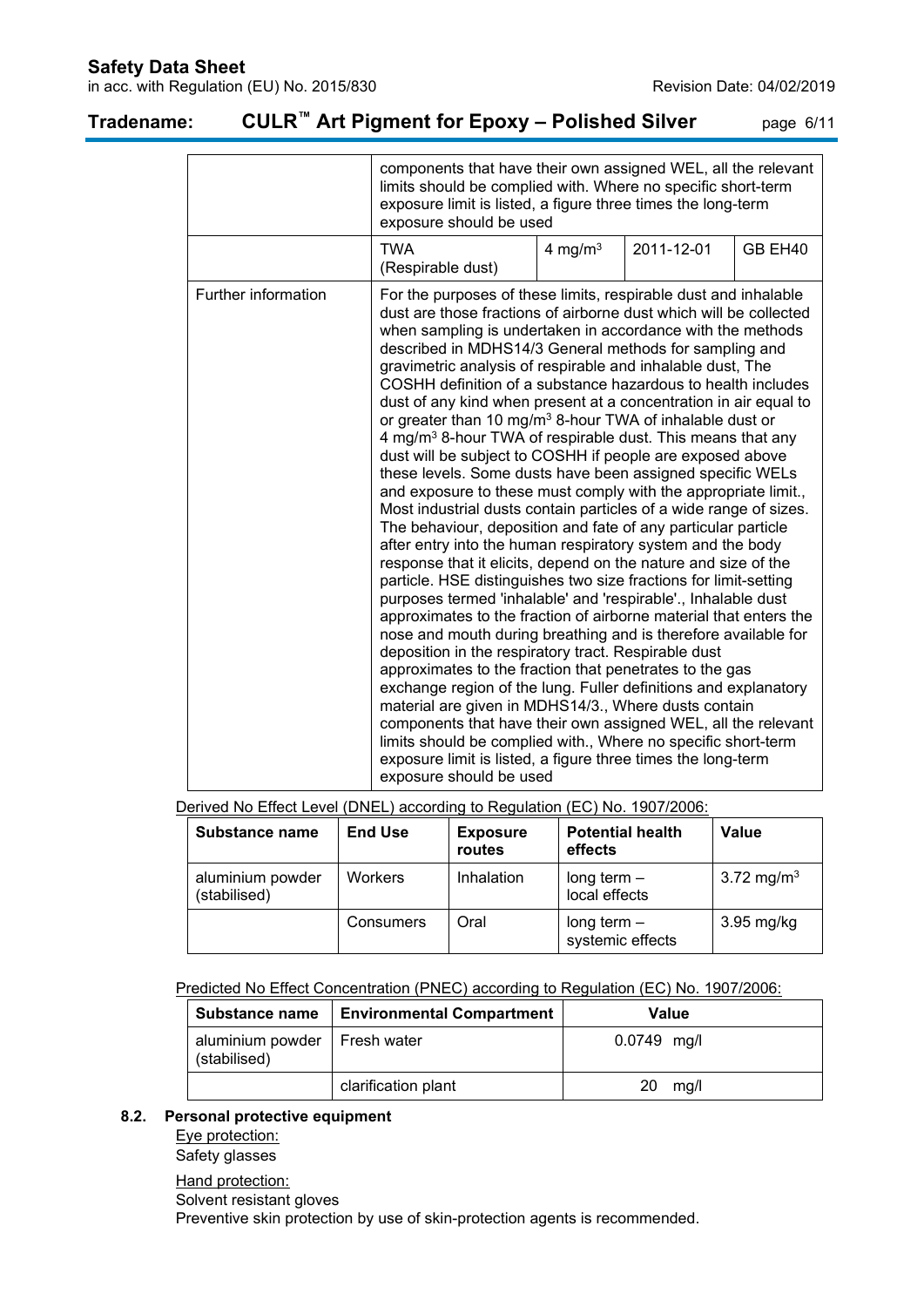## **Safety Data Sheet**

in acc. with Regulation (EU) No. 2015/830 Revision Date: 04/02/2019

|                     | components that have their own assigned WEL, all the relevant<br>limits should be complied with. Where no specific short-term<br>exposure limit is listed, a figure three times the long-term<br>exposure should be used                                                                                                                                                                                                                                                                                                                                                                                                                                                                                                                                                                                                                                                                                                                                                                                                                                                                                                                                                                                                                                                                                                                                                                                                                                                                                                                                                                                                                                                                                                                                                                                                                  |            |            |         |
|---------------------|-------------------------------------------------------------------------------------------------------------------------------------------------------------------------------------------------------------------------------------------------------------------------------------------------------------------------------------------------------------------------------------------------------------------------------------------------------------------------------------------------------------------------------------------------------------------------------------------------------------------------------------------------------------------------------------------------------------------------------------------------------------------------------------------------------------------------------------------------------------------------------------------------------------------------------------------------------------------------------------------------------------------------------------------------------------------------------------------------------------------------------------------------------------------------------------------------------------------------------------------------------------------------------------------------------------------------------------------------------------------------------------------------------------------------------------------------------------------------------------------------------------------------------------------------------------------------------------------------------------------------------------------------------------------------------------------------------------------------------------------------------------------------------------------------------------------------------------------|------------|------------|---------|
|                     | <b>TWA</b><br>(Respirable dust)                                                                                                                                                                                                                                                                                                                                                                                                                                                                                                                                                                                                                                                                                                                                                                                                                                                                                                                                                                                                                                                                                                                                                                                                                                                                                                                                                                                                                                                                                                                                                                                                                                                                                                                                                                                                           | 4 mg/m $3$ | 2011-12-01 | GB EH40 |
| Further information | For the purposes of these limits, respirable dust and inhalable<br>dust are those fractions of airborne dust which will be collected<br>when sampling is undertaken in accordance with the methods<br>described in MDHS14/3 General methods for sampling and<br>gravimetric analysis of respirable and inhalable dust, The<br>COSHH definition of a substance hazardous to health includes<br>dust of any kind when present at a concentration in air equal to<br>or greater than 10 mg/m <sup>3</sup> 8-hour TWA of inhalable dust or<br>4 mg/m <sup>3</sup> 8-hour TWA of respirable dust. This means that any<br>dust will be subject to COSHH if people are exposed above<br>these levels. Some dusts have been assigned specific WELs<br>and exposure to these must comply with the appropriate limit.,<br>Most industrial dusts contain particles of a wide range of sizes.<br>The behaviour, deposition and fate of any particular particle<br>after entry into the human respiratory system and the body<br>response that it elicits, depend on the nature and size of the<br>particle. HSE distinguishes two size fractions for limit-setting<br>purposes termed 'inhalable' and 'respirable'., Inhalable dust<br>approximates to the fraction of airborne material that enters the<br>nose and mouth during breathing and is therefore available for<br>deposition in the respiratory tract. Respirable dust<br>approximates to the fraction that penetrates to the gas<br>exchange region of the lung. Fuller definitions and explanatory<br>material are given in MDHS14/3., Where dusts contain<br>components that have their own assigned WEL, all the relevant<br>limits should be complied with., Where no specific short-term<br>exposure limit is listed, a figure three times the long-term<br>exposure should be used |            |            |         |

## **Tradename: CULR™ Art Pigment for Epoxy – Polished Silver** page 6/11

Derived No Effect Level (DNEL) according to Regulation (EC) No. 1907/2006:

| Substance name                   | <b>End Use</b> | <b>Exposure</b><br>routes | <b>Potential health</b><br>effects | Value                  |
|----------------------------------|----------------|---------------------------|------------------------------------|------------------------|
| aluminium powder<br>(stabilised) | <b>Workers</b> | Inhalation                | long term $-$<br>local effects     | 3.72 mg/m <sup>3</sup> |
|                                  | Consumers      | Oral                      | long term $-$<br>systemic effects  | $3.95$ mg/kg           |

Predicted No Effect Concentration (PNEC) according to Regulation (EC) No. 1907/2006:

| <b>Substance name</b>                          | <b>Environmental Compartment</b> | Value         |
|------------------------------------------------|----------------------------------|---------------|
| aluminium powder   Fresh water<br>(stabilised) |                                  | $0.0749$ mg/l |
|                                                | clarification plant              | mg/l<br>20    |

#### **8.2. Personal protective equipment**

Eye protection:

Safety glasses

Hand protection: Solvent resistant gloves Preventive skin protection by use of skin-protection agents is recommended.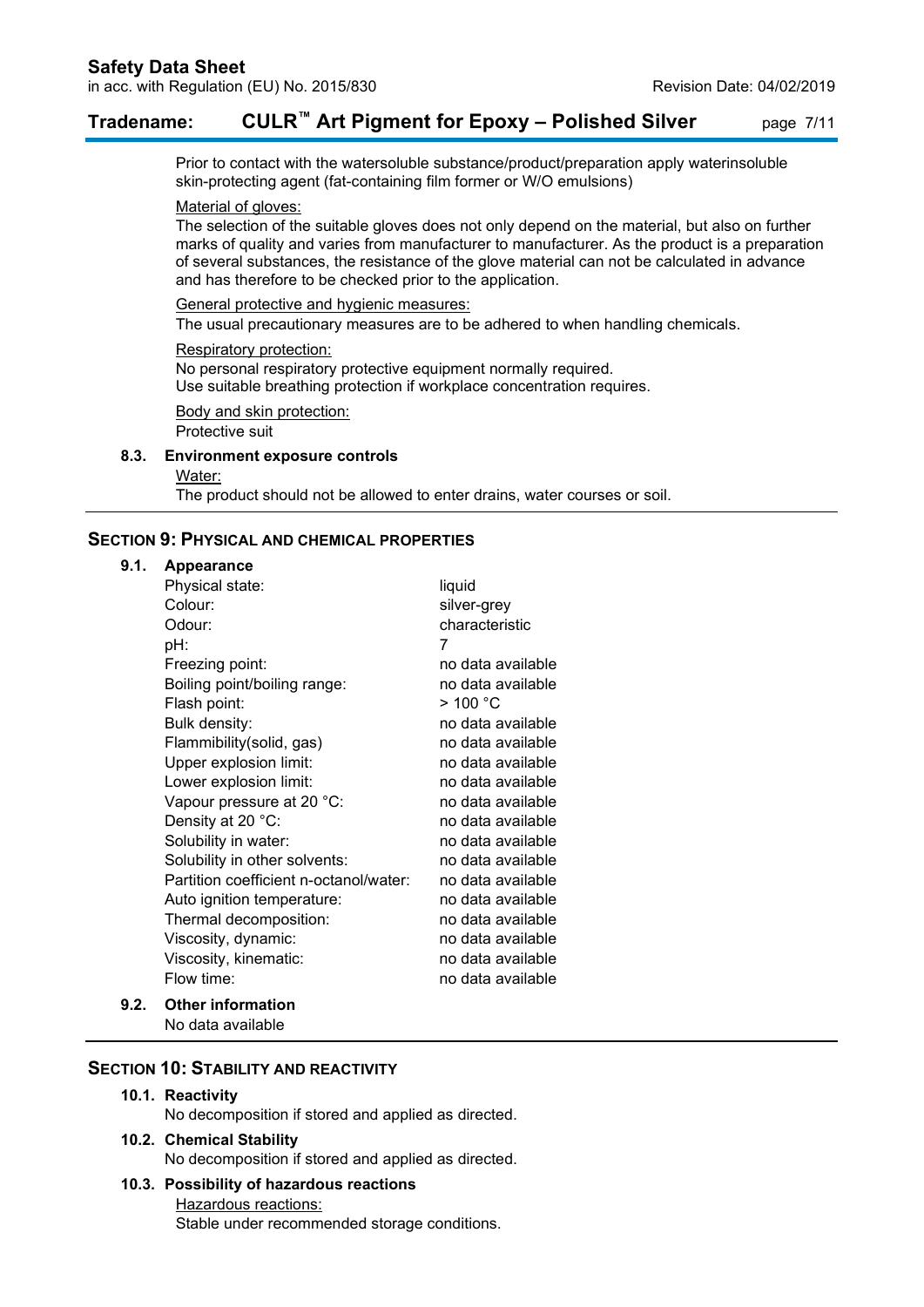## **Tradename: CULR™ Art Pigment for Epoxy – Polished Silver** page 7/11

Prior to contact with the watersoluble substance/product/preparation apply waterinsoluble skin-protecting agent (fat-containing film former or W/O emulsions)

#### Material of gloves:

The selection of the suitable gloves does not only depend on the material, but also on further marks of quality and varies from manufacturer to manufacturer. As the product is a preparation of several substances, the resistance of the glove material can not be calculated in advance and has therefore to be checked prior to the application.

General protective and hygienic measures:

The usual precautionary measures are to be adhered to when handling chemicals.

#### Respiratory protection:

No personal respiratory protective equipment normally required. Use suitable breathing protection if workplace concentration requires.

Body and skin protection: Protective suit

#### **8.3. Environment exposure controls**

Water:

The product should not be allowed to enter drains, water courses or soil.

## **SECTION 9: PHYSICAL AND CHEMICAL PROPERTIES**

#### **9.1. Appearance**

| Physical state:                        | liquid               |
|----------------------------------------|----------------------|
| Colour:                                | silver-grey          |
| Odour:                                 | characteristic       |
| pH:                                    | 7                    |
| Freezing point:                        | no data available    |
| Boiling point/boiling range:           | no data available    |
| Flash point:                           | $>$ 100 $^{\circ}$ C |
| Bulk density:                          | no data available    |
| Flammibility(solid, gas)               | no data available    |
| Upper explosion limit:                 | no data available    |
| Lower explosion limit:                 | no data available    |
| Vapour pressure at 20 °C:              | no data available    |
| Density at 20 °C:                      | no data available    |
| Solubility in water:                   | no data available    |
| Solubility in other solvents:          | no data available    |
| Partition coefficient n-octanol/water: | no data available    |
| Auto ignition temperature:             | no data available    |
| Thermal decomposition:                 | no data available    |
| Viscosity, dynamic:                    | no data available    |
| Viscosity, kinematic:                  | no data available    |
| Flow time:                             | no data available    |
| <b>Other information</b>               |                      |

No data available

#### **SECTION 10: STABILITY AND REACTIVITY**

#### **10.1. Reactivity**

**9.2.** 

No decomposition if stored and applied as directed.

**10.2. Chemical Stability** No decomposition if stored and applied as directed.

## **10.3. Possibility of hazardous reactions**

Hazardous reactions: Stable under recommended storage conditions.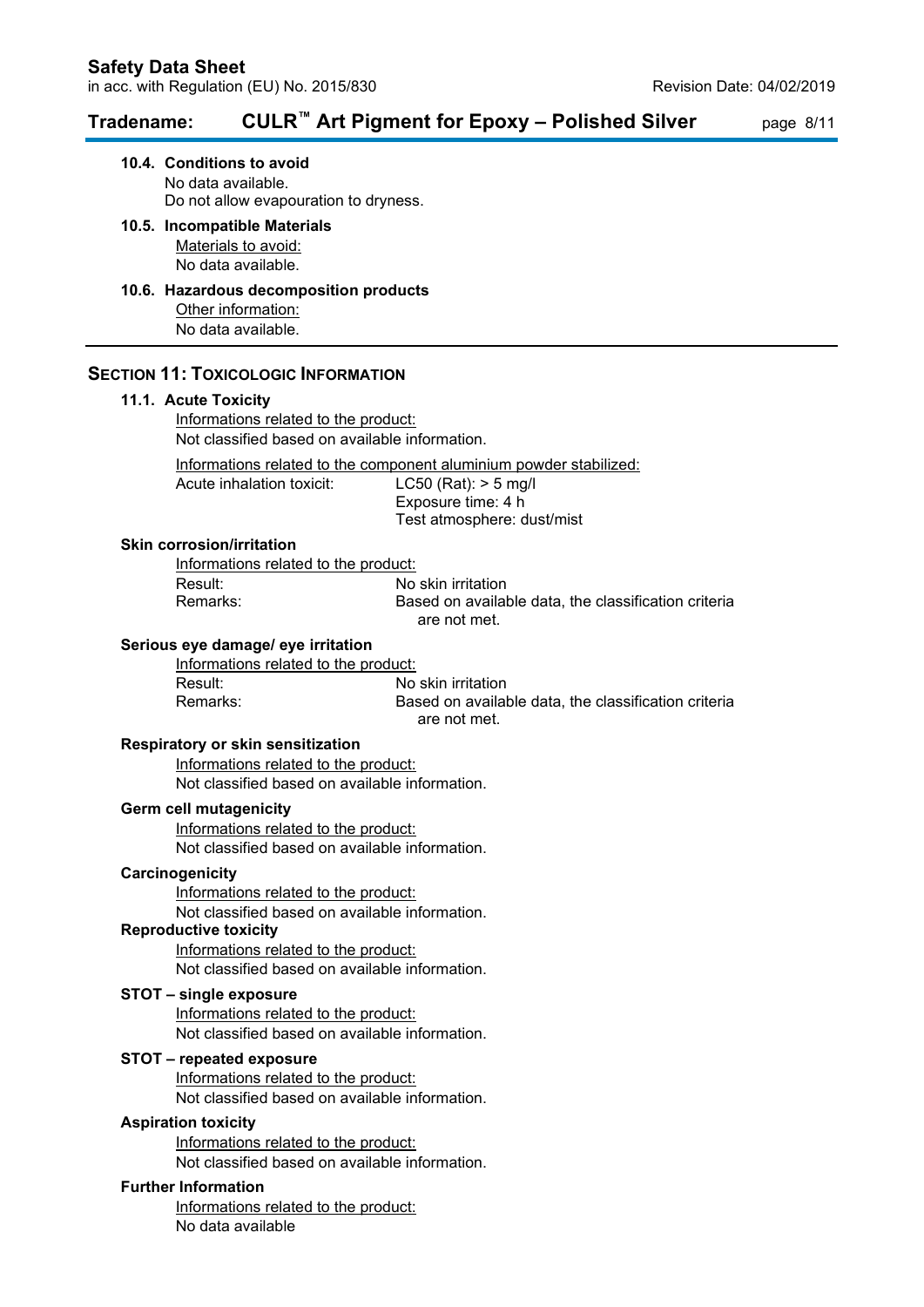## **Tradename: CULR™ Art Pigment for Epoxy – Polished Silver** page 8/11

**10.4. Conditions to avoid** No data available. Do not allow evapouration to dryness.

#### **10.5. Incompatible Materials** Materials to avoid:

No data available.

#### **10.6. Hazardous decomposition products** Other information: No data available.

### **SECTION 11: TOXICOLOGIC INFORMATION**

#### **11.1. Acute Toxicity**

Informations related to the product: Not classified based on available information.

Informations related to the component aluminium powder stabilized:

Acute inhalation toxicit: LC50 (Rat): > 5 mg/l Exposure time: 4 h Test atmosphere: dust/mist

#### **Skin corrosion/irritation**

Informations related to the product: Result: No skin irritation

Based on available data, the classification criteria are not met.

#### **Serious eye damage/ eye irritation**

Informations related to the product: Result: No skin irritation

Remarks: Based on available data, the classification criteria are not met.

#### **Respiratory or skin sensitization**

Informations related to the product: Not classified based on available information.

#### **Germ cell mutagenicity**

Informations related to the product: Not classified based on available information.

#### **Carcinogenicity**

Informations related to the product:

Not classified based on available information.

## **Reproductive toxicity**

Informations related to the product: Not classified based on available information.

#### **STOT – single exposure**

Informations related to the product: Not classified based on available information.

#### **STOT – repeated exposure**

Informations related to the product: Not classified based on available information.

#### **Aspiration toxicity**

Informations related to the product: Not classified based on available information.

#### **Further Information**

Informations related to the product: No data available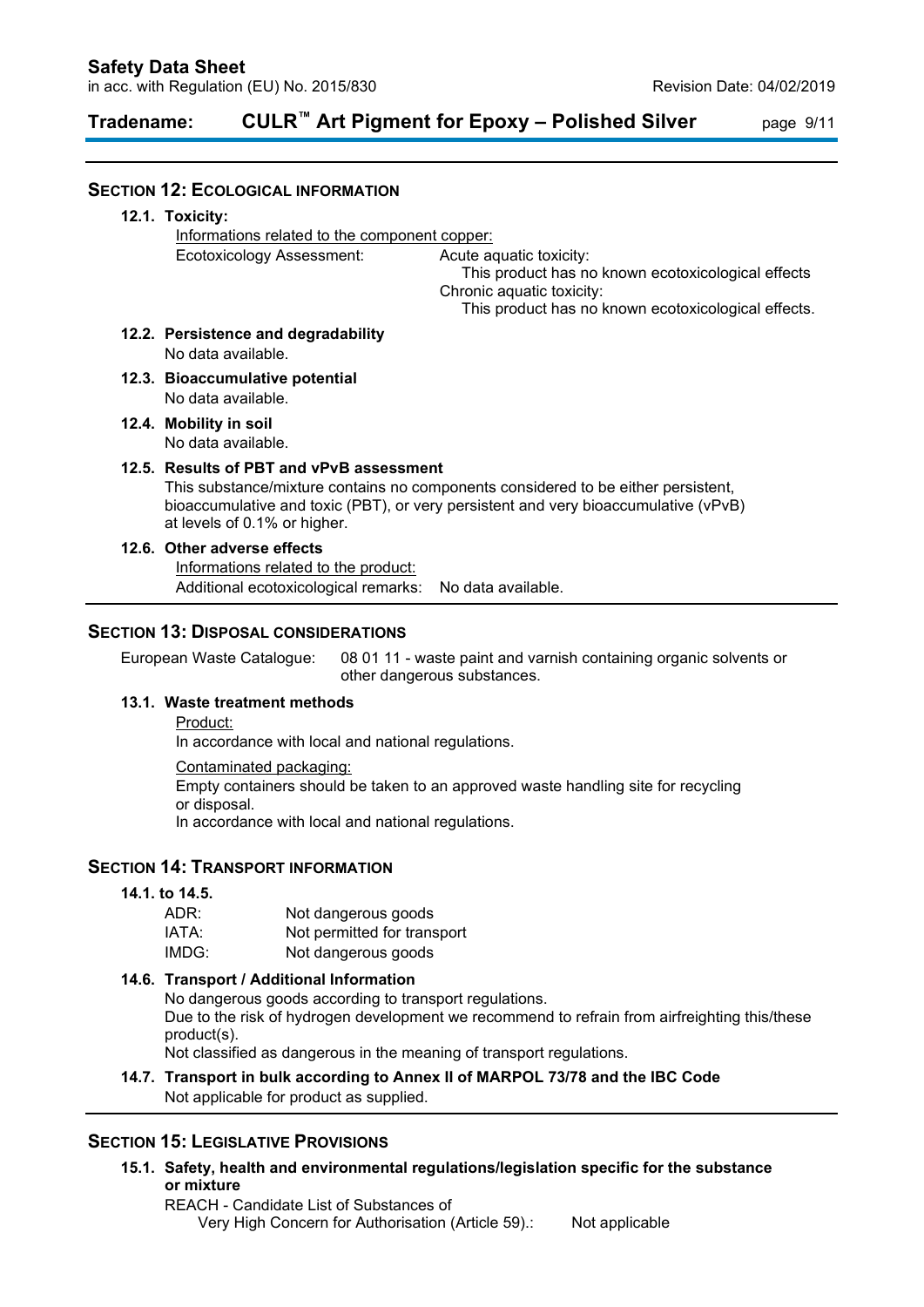# **Tradename: CULR™ Art Pigment for Epoxy – Polished Silver** page 9/11

| <b>SECTION 12: ECOLOGICAL INFORMATION</b>                                                          |                                                    |                                                                                                                                                                          |
|----------------------------------------------------------------------------------------------------|----------------------------------------------------|--------------------------------------------------------------------------------------------------------------------------------------------------------------------------|
| 12.1. Toxicity:                                                                                    |                                                    |                                                                                                                                                                          |
| Informations related to the component copper:                                                      |                                                    |                                                                                                                                                                          |
| Ecotoxicology Assessment:                                                                          |                                                    | Acute aquatic toxicity:<br>This product has no known ecotoxicological effects<br>Chronic aquatic toxicity:                                                               |
|                                                                                                    |                                                    | This product has no known ecotoxicological effects.                                                                                                                      |
| 12.2. Persistence and degradability<br>No data available.                                          |                                                    |                                                                                                                                                                          |
| 12.3. Bioaccumulative potential<br>No data available.                                              |                                                    |                                                                                                                                                                          |
| 12.4. Mobility in soil<br>No data available.                                                       |                                                    |                                                                                                                                                                          |
| 12.5. Results of PBT and vPvB assessment<br>at levels of 0.1% or higher.                           |                                                    | This substance/mixture contains no components considered to be either persistent,<br>bioaccumulative and toxic (PBT), or very persistent and very bioaccumulative (vPvB) |
| 12.6. Other adverse effects                                                                        |                                                    |                                                                                                                                                                          |
| Informations related to the product:                                                               |                                                    |                                                                                                                                                                          |
| Additional ecotoxicological remarks:                                                               |                                                    | No data available.                                                                                                                                                       |
| <b>SECTION 13: DISPOSAL CONSIDERATIONS</b><br>European Waste Catalogue:                            |                                                    | 08 01 11 - waste paint and varnish containing organic solvents or                                                                                                        |
|                                                                                                    |                                                    | other dangerous substances.                                                                                                                                              |
| 13.1. Waste treatment methods                                                                      |                                                    |                                                                                                                                                                          |
| Product:<br>In accordance with local and national regulations.                                     |                                                    |                                                                                                                                                                          |
| Contaminated packaging:                                                                            |                                                    |                                                                                                                                                                          |
| or disposal.                                                                                       |                                                    | Empty containers should be taken to an approved waste handling site for recycling                                                                                        |
| In accordance with local and national regulations.                                                 |                                                    |                                                                                                                                                                          |
| <b>SECTION 14: TRANSPORT INFORMATION</b>                                                           |                                                    |                                                                                                                                                                          |
| 14.1. to 14.5.                                                                                     |                                                    |                                                                                                                                                                          |
| ADR:                                                                                               | Not dangerous goods                                |                                                                                                                                                                          |
| IATA:<br>IMDG:                                                                                     | Not permitted for transport<br>Not dangerous goods |                                                                                                                                                                          |
|                                                                                                    |                                                    |                                                                                                                                                                          |
| 14.6. Transport / Additional Information<br>No dangerous goods according to transport regulations. |                                                    |                                                                                                                                                                          |
| product(s).                                                                                        |                                                    | Due to the risk of hydrogen development we recommend to refrain from airfreighting this/these                                                                            |
|                                                                                                    |                                                    | Not classified as dangerous in the meaning of transport regulations.                                                                                                     |
| Not applicable for product as supplied.                                                            |                                                    | 14.7. Transport in bulk according to Annex II of MARPOL 73/78 and the IBC Code                                                                                           |
|                                                                                                    |                                                    |                                                                                                                                                                          |

## **SECTION 15: LEGISLATIVE PROVISIONS**

**15.1. Safety, health and environmental regulations/legislation specific for the substance or mixture**

REACH - Candidate List of Substances of Very High Concern for Authorisation (Article 59).: Not applicable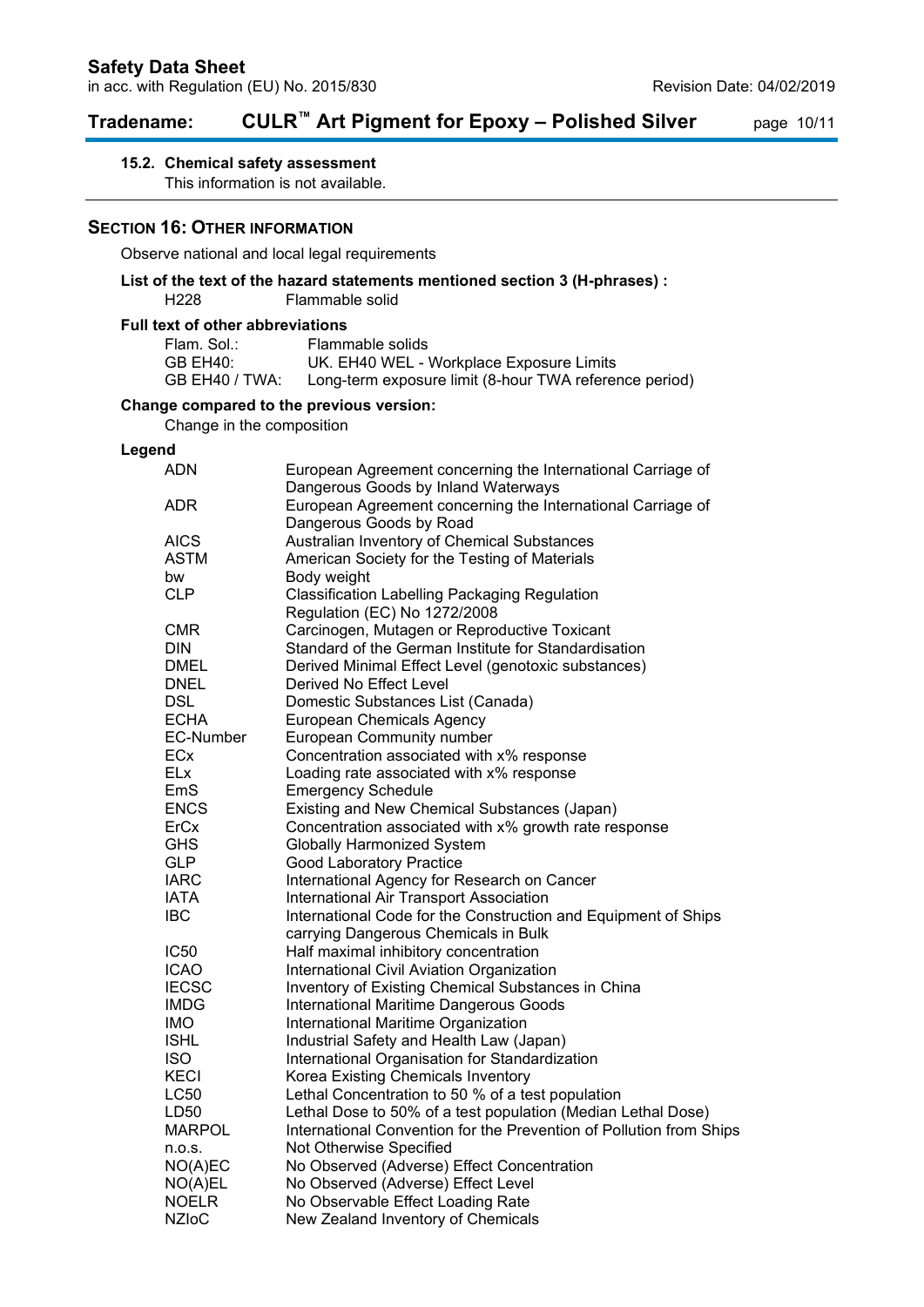# **Tradename: CULR™ Art Pigment for Epoxy – Polished Silver** page 10/11

## **15.2. Chemical safety assessment**

This information is not available.

#### **SECTION 16: OTHER INFORMATION**

Observe national and local legal requirements

#### **List of the text of the hazard statements mentioned section 3 (H-phrases) :** Flammable solid

#### **Full text of other abbreviations**

| Flam. Sol.:    | Flammable solids                                       |
|----------------|--------------------------------------------------------|
| GB EH40:       | UK. EH40 WEL - Workplace Exposure Limits               |
| GB EH40 / TWA: | Long-term exposure limit (8-hour TWA reference period) |

## **Change compared to the previous version:**

Change in the composition

#### **Legend**

| <b>ADN</b>       | European Agreement concerning the International Carriage of<br>Dangerous Goods by Inland Waterways |
|------------------|----------------------------------------------------------------------------------------------------|
| ADR              | European Agreement concerning the International Carriage of<br>Dangerous Goods by Road             |
| <b>AICS</b>      | Australian Inventory of Chemical Substances                                                        |
| <b>ASTM</b>      | American Society for the Testing of Materials                                                      |
| bw               | Body weight                                                                                        |
| <b>CLP</b>       | <b>Classification Labelling Packaging Regulation</b><br>Regulation (EC) No 1272/2008               |
| CMR              | Carcinogen, Mutagen or Reproductive Toxicant                                                       |
| <b>DIN</b>       | Standard of the German Institute for Standardisation                                               |
| DMEL             | Derived Minimal Effect Level (genotoxic substances)                                                |
| DNEL             | Derived No Effect Level                                                                            |
| <b>DSL</b>       | Domestic Substances List (Canada)                                                                  |
| <b>ECHA</b>      | <b>European Chemicals Agency</b>                                                                   |
| <b>EC-Number</b> | European Community number                                                                          |
| ECx              | Concentration associated with x% response                                                          |
| <b>ELx</b>       | Loading rate associated with x% response                                                           |
| EmS              | <b>Emergency Schedule</b>                                                                          |
| <b>ENCS</b>      | Existing and New Chemical Substances (Japan)                                                       |
| ErCx             | Concentration associated with x% growth rate response                                              |
| <b>GHS</b>       | <b>Globally Harmonized System</b>                                                                  |
| <b>GLP</b>       | Good Laboratory Practice                                                                           |
| <b>IARC</b>      | International Agency for Research on Cancer                                                        |
| <b>IATA</b>      | International Air Transport Association                                                            |
| IBC              | International Code for the Construction and Equipment of Ships                                     |
|                  | carrying Dangerous Chemicals in Bulk                                                               |
| <b>IC50</b>      | Half maximal inhibitory concentration                                                              |
| ICAO             | International Civil Aviation Organization                                                          |
| <b>IECSC</b>     | Inventory of Existing Chemical Substances in China                                                 |
| <b>IMDG</b>      | International Maritime Dangerous Goods                                                             |
| IMO              | International Maritime Organization                                                                |
| <b>ISHL</b>      | Industrial Safety and Health Law (Japan)                                                           |
| ISO.             | International Organisation for Standardization                                                     |
| <b>KECI</b>      | Korea Existing Chemicals Inventory                                                                 |
| <b>LC50</b>      | Lethal Concentration to 50 % of a test population                                                  |
| LD50             | Lethal Dose to 50% of a test population (Median Lethal Dose)                                       |
| MARPOL           | International Convention for the Prevention of Pollution from Ships                                |
| n.o.s.           | Not Otherwise Specified                                                                            |
| NO(A)EC          | No Observed (Adverse) Effect Concentration                                                         |
| NO(A)EL          | No Observed (Adverse) Effect Level                                                                 |
| <b>NOELR</b>     | No Observable Effect Loading Rate                                                                  |
| <b>NZIoC</b>     | New Zealand Inventory of Chemicals                                                                 |